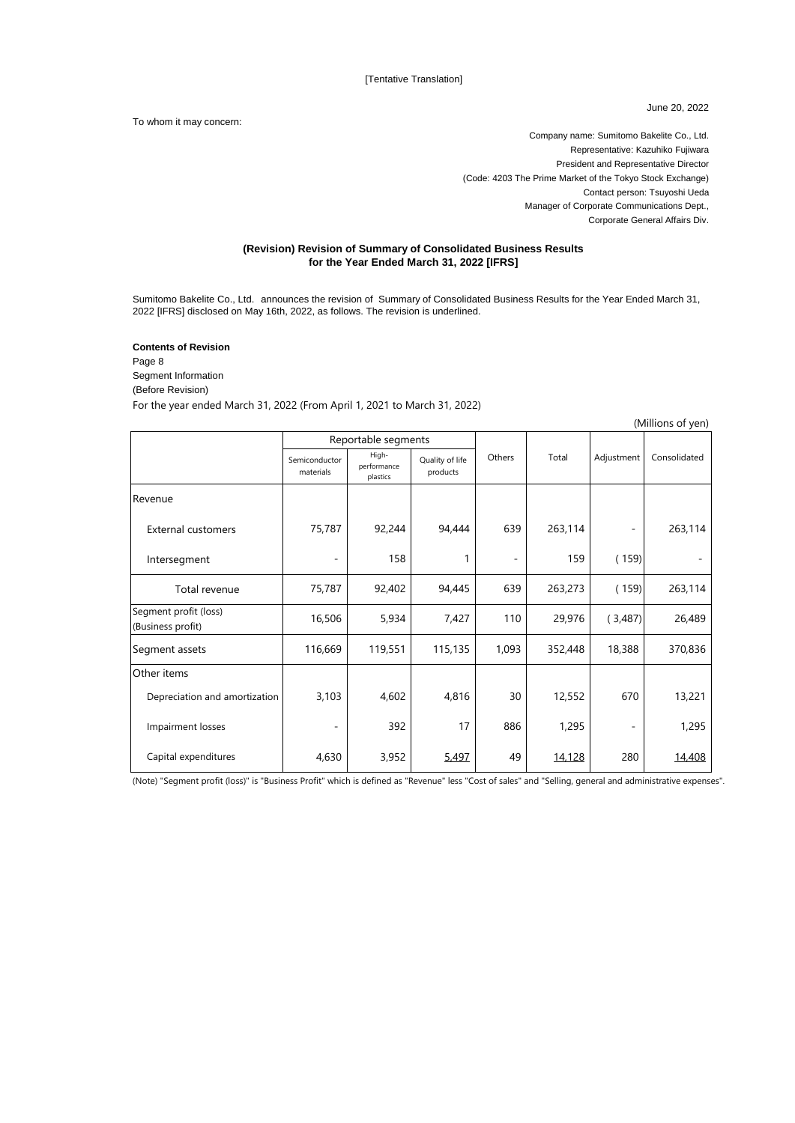June 20, 2022

To whom it may concern:

Company name: Sumitomo Bakelite Co., Ltd. Representative: Kazuhiko Fujiwara President and Representative Director (Code: 4203 The Prime Market of the Tokyo Stock Exchange) Contact person: Tsuyoshi Ueda Manager of Corporate Communications Dept., Corporate General Affairs Div.

## **(Revision) Revision of Summary of Consolidated Business Results for the Year Ended March 31, 2022 [IFRS]**

Sumitomo Bakelite Co., Ltd. announces the revision of Summary of Consolidated Business Results for the Year Ended March 31, 2022 [IFRS] disclosed on May 16th, 2022, as follows. The revision is underlined.

## **Contents of Revision**

Page 8 Segment Information (Before Revision) For the year ended March 31, 2022 (From April 1, 2021 to March 31, 2022)

|                                            |                            |                                  |                             |                          |         |                          | (Millions of yen) |
|--------------------------------------------|----------------------------|----------------------------------|-----------------------------|--------------------------|---------|--------------------------|-------------------|
|                                            | Reportable segments        |                                  |                             |                          |         |                          |                   |
|                                            | Semiconductor<br>materials | High-<br>performance<br>plastics | Quality of life<br>products | Others                   | Total   | Adjustment               | Consolidated      |
| Revenue                                    |                            |                                  |                             |                          |         |                          |                   |
| <b>External customers</b>                  | 75,787                     | 92,244                           | 94,444                      | 639                      | 263,114 | $\overline{\phantom{m}}$ | 263,114           |
| Intersegment                               |                            | 158                              | 1                           | $\overline{\phantom{0}}$ | 159     | (159)                    |                   |
| Total revenue                              | 75,787                     | 92,402                           | 94,445                      | 639                      | 263,273 | (159)                    | 263,114           |
| Segment profit (loss)<br>(Business profit) | 16,506                     | 5,934                            | 7,427                       | 110                      | 29,976  | (3,487)                  | 26,489            |
| Segment assets                             | 116,669                    | 119,551                          | 115,135                     | 1,093                    | 352,448 | 18,388                   | 370,836           |
| Other items                                |                            |                                  |                             |                          |         |                          |                   |
| Depreciation and amortization              | 3,103                      | 4,602                            | 4,816                       | 30                       | 12,552  | 670                      | 13,221            |
| Impairment losses                          | ٠                          | 392                              | 17                          | 886                      | 1,295   | $\overline{\phantom{a}}$ | 1,295             |
| Capital expenditures                       | 4,630                      | 3,952                            | 5,497                       | 49                       | 14,128  | 280                      | 14,408            |

(Note) "Segment profit (loss)" is "Business Profit" which is defined as "Revenue" less "Cost of sales" and "Selling, general and administrative expenses".